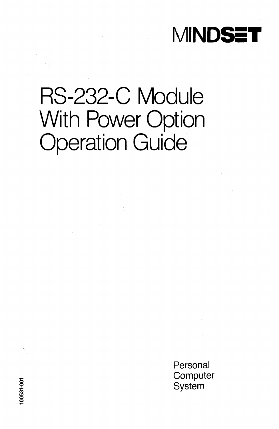

## RS-232-C Module With Power Option Operation Guide

Personal **Computer** System

5 o  $100531$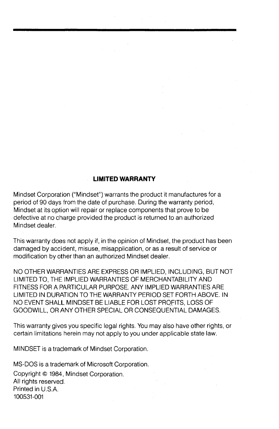#### **LIMITED WARRANTY**

Mindset Corporation ("Mindset") warrants the product it manufactures for a period of 90 days from the date of purchase. During the warranty period, Mindset at its option will repair or replace components that prove to be defective at no charge provided the product is returned to an authorized Mindset dealer.

This warranty does not apply if, in the opinion of Mindset, the product has been damaged by accident, misuse, misapplication, or as a result of service or modification by other than an authorized Mindset dealer.

NO OTHER WARRANTIES ARE EXPRESS OR IMPLIED, INCLUDING, BUT NOT LIMITED TO, THE IMPLIED WARRANTIES OF MERCHANTABILITY AND FITNESS FOR A PARTICULAR PURPOSE. ANY IMPLIED WARRANTIES ARE LIMITED IN DURATION TO THE WARRANTY PERIOD SET FORTH ABOVE. IN NO EVENT SHALL MINDSET BE LIABLE FOR LOST PROfiTS, LOSS OF GOODWILL, OR ANY OTHER SPECIAL OR CONSEQUENTIAL DAMAGES.

This warranty gives you specific legal rights. You may also have other rights, or certain limitations herein may not apply to you under applicable state law.

MINDSET is a trademark of Mindset Corporation.

MS-DOS is a trademark of Microsoft Corporation. Copyright © 1984, Mindset Corporation. All rights reserved. Printed in U.S.A. 100531-001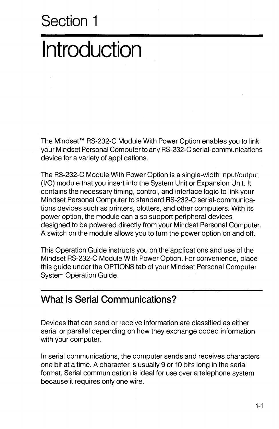# **Introduction**

The Mindset™ RS-232-C Module With Power Option enables you to link your Mindset Personal Computer to any RS-232-C serial-communications device for a variety of applications.

The RS-232-C Module With Power Option is a single-width input/output (1/0) module that you insert into the System Unit or Expansion Unit. It contains the necessary timing, control, and interface logic to link your Mindset Personal Computer to standard RS-232-C serial-communications devices such as printers, plotters, and other computers. With its power option, the module can also support peripheral devices designed to be po'wered directly from your Mindset Personal Computer. A switch on the module allows you to turn the power option on and off.

This Operation Guide instructs you on the applications and use of the Mindset RS-232-C Module With Power Option. For convenience, place this guide under the OPTIONS tab of your Mindset Personal Computer System Operation Guide.

### **What Is Serial Communications?**

Devices that can send or receive information are classified as either serial or parallel depending on how they exchange coded information with your computer.

In serial communications, the computer sends and receives characters one bit at a time. A character is usually 9 or 10 bits long in the serial format. Serial communication is ideal for use over a telephone system because it requires only one wire.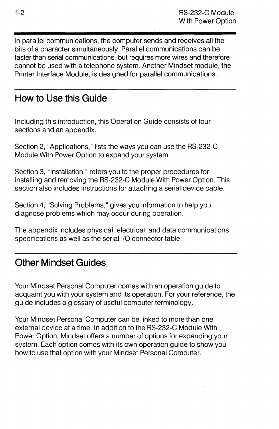In parallel communications, the computer sends and receives all the bits of a character simultaneously. Parallel communications can be faster than serial communications, but requires more wires and therefore cannot be used with a telephone system. Another Mindset module, the Printer Interface Module, is designed for parallel communications.

### **How to Use this Guide**

Including this introduction, this Operation Guide consists of four sections and an appendix.

Section 2, "Applications," lists the ways you can use the RS-232-C Module With Power Option to expand your system.

Section 3, "Installation," refers you to the proper procedures for installing and removing the RS-232-C Module With Power Option. This section also includes instructions for attaching a serial device cable.

Section 4, "Solving Problems," gives you information to help you diagnose problems which may occur during operation.

The appendix includes physical, electrical, and data communications specifications as well as the serial I/O connector table.

### **Other Mindset Guides**

Your Mindset Personal Computer comes with an operation guide to acquaint you with your system and its operation. For your reference, the guide includes a glossary of useful computer terminology.

Your Mindset Personal Computer can be linked to more than one external device at a time. In addition to the RS-232-C Module With Power Option, Mindset offers a number of options for expanding your system. Each option comes with its own operation guide to show you how to use that option with your Mindset Personal Computer.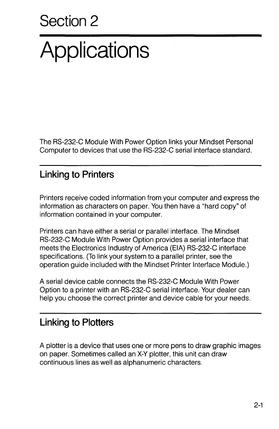# **Applications**

The RS-232-C Module With Power Option links your Mindset Personal Computer to devices that use the RS-232-C serial interface standard.

### **Linking to Printers**

Printers receive coded information from your computer and express the information as characters on paper. You then have a "hard copy" of information contained in your computer.

Printers can have either a serial or parallel interface. The Mindset RS-232-C Module With Power Option provides a serial interface that meets the Electronics Industry of America (EIA) RS-232-C interface specifications. (To link your system to a parallel printer, see the operation guide included with the Mindset Printer Interface Module.)

A serial device cable connects the RS-232-C Module With Power Option to a printer with an RS-232-C serial interface. Your dealer can help you choose the correct printer and device cable for your needs.

### **Linking to Plotters**

A plotter is a device that uses one or more pens to draw graphic images on paper. Sometimes called an X-Y plotter, this unit can draw continuous lines as well as alphanumeric characters.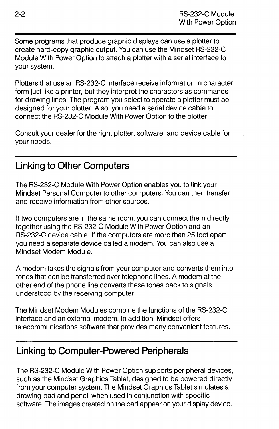Some programs that produce graphic displays can use a plotter to create hard-copy graphic output. You can use the Mindset RS-232-C Module With Power Option to attach a plotter with a serial interface to your system.

Plotters that use an RS-232-C interface receive information in character form just like a printer, but they interpret the characters as commands for drawing lines. The program you select to operate a plotter must be designed for your plotter. Also, you need a serial device cable to connect the RS-232-C Module With Power Option to the plotter.

Consult your dealer for the right plotter, software, and device cable for your needs.

### **Linking to Other Computers**

The RS-232-C Module With Power Option enables you to link your Mindset Personal Computer to other computers. You can then transfer and receive information from other sources.

If two computers are in the same room, you can connect them directly together using the RS-232-C Module With Power Option and an RS-232-C device cable. If the computers are more than 25 feet apart, you need a separate device called a modem. You can also use a Mindset Modem Module.

A modem takes the signals from your computer and converts them into tones that can be transferred over telephone lines. A modem at the other end of the phone line converts these tones back to signals understood by the receiving computer.

The Mindset Modem Modules combine the functions of the RS-232-C interface and an external modem. In addition, Mindset offers telecommunications software that provides many convenient features.

### **Linking to Computer-Powered Peripherals**

The RS-232-C Module With Power Option supports peripheral devices, such as the Mindset Graphics Tablet, designed to be powered directly from your computer system. The Mindset Graphics Tablet simulates a drawing pad and pencil when used in conjunction with specific software. The images created on the pad appear on your display device.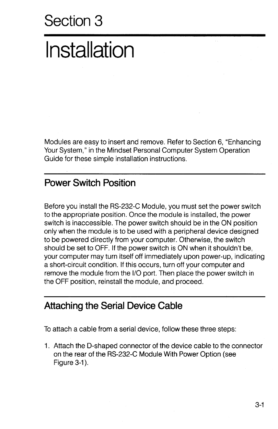# **Installation**

Modules are easy to insert and remove. Refer to Section 6, "Enhancing Your System," in the Mindset Personal Computer System Operation Guide for these simple installation instructions.

### **Power Switch Position**

Before you install the RS-232-C Module, you must set the power switch to the appropriate position. Once the module is installed, the power switch is inaccessible. The power switch should be in the ON position only when the module is to be used with a peripheral device designed to be powered directly from your computer. Otherwise, the switch should be set to OFF. If the power switch is ON when it shouldn't be, your computer may turn itself off immediately upon power-up, indicating a short-circuit condition. If this occurs, turn off your computer and remove the module from the 1/0 port. Then place the power switch in the OFF position, reinstall the module, and proceed.

#### **Attaching the Serial Device Cable**

To attach a cable from a serial device, follow these three steps:

1. Attach the O-shaped connector of the device cable to the connector on the rear of the RS-232-C Module With Power Option (see Figure 3-1).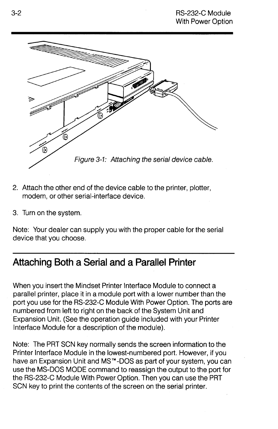

- 2. Attach the other end of the device cable to the printer, plotter, modem, or other serial-interface device.
- 3. Turn on the system.

Note: Your dealer can supply you with the proper cable for the serial device that you choose.

### **Attaching Both a Serial and a Parallel Printer**

When you insert the Mindset Printer Interface Module to connect a parallel printer, place it in a module port with a lower number than the port you use for the RS-232-C Module With Power Option. The ports are numbered from left to right on the back of the System Unit and Expansion Unit. (See the operation guide included with your Printer Interface Module for a description of the module).

Note: The PRT SCN key normally sends the screen information to the Printer Interface Module in the lowest-numbered port. However, if you have an Expansion Unit and MS<sup>™</sup>-DOS as part of your system, you can use the MS-DOS MODE command to reassign the output to the port for the RS-232-C Module With Power Option. Then you can use the PRT SCN key to print the contents of the screen on the serial printer.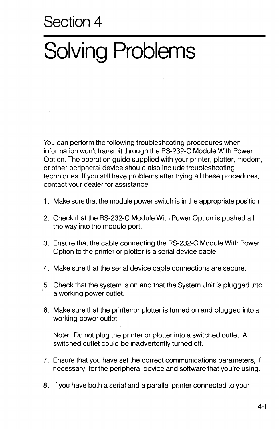# **Solving Problems**

You can perform the following troubleshooting procedures when information won't transmit through the RS-232-C Module With Power Option. The operation guide supplied with your printer, plotter, modem, or other peripheral device should also include troubleshooting techniques. If you still have problems after trying all these procedures, contact your dealer for assistance.

- 1. Make sure that the module power switch is in the appropriate position.
- 2. Check that the RS-232-C Modufe With Power Option is pushed all the way into the module port.
- 3. Ensure that the cable connecting the RS-232-C Module With Power Option to the printer or plotter is a serial device cable.
- 4. Make sure that the serial device cable connections are secure.
- 5. Check that the system is on and that the System Unit is plugged into a working power outlet.
- 6. Make sure that the printer or plotter is turned on and plugged into a working power outlet.

Note: Do not plug the printer or plotter into a switched outlet. A switched outlet could be inadvertently turned off.

- 7. Ensure that you have set the correct communications parameters, if necessary, for the peripheral device and software that you're using.
- 8. If you have both a serial and a parallel printer connected to your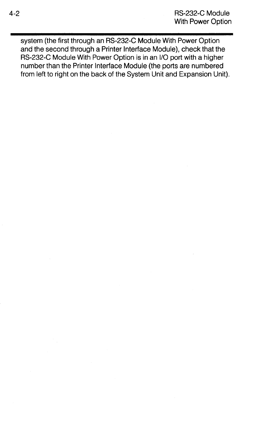system (the first through an RS-232-C Module With Power Option and the second through a Printer Interface Module), check that the RS-232-C Module With Power Option is in an I/O port with a higher number than the Printer Interface Module (the ports are numbered from left to right on the back of the System Unit and Expansion Unit).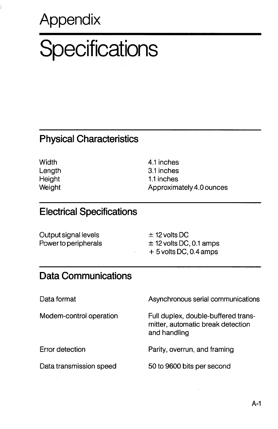### **Appendix**

# **Specifications**

#### **Physical Characteristics**

**Width Length Height Weight**  4.1 inches 3.1 inches 1.1 inches Approximately 4.0 ounces

### **Electrical Specifications**

| Output signal levels | $\pm$ 12 volts DC           |
|----------------------|-----------------------------|
| Power to peripherals | $\pm$ 12 volts DC, 0.1 amps |
|                      | $+5$ volts DC, 0.4 amps     |

### **Data Communications**

Data format

Modem-control operation

Error detection

Data transmission speed

Asynchronous serial communications

Full duplex, double-buffered transmitter, automatic break detection and handling

Parity, overrun, and framing

50 to 9600 bits per second